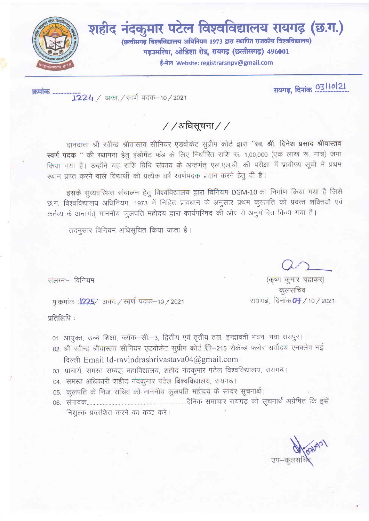

शहीद नंदकुमार पटेल विश्वविद्यालय रायगढ़ (छ.ग.) (छत्तीसगढ़ विश्वविद्यालय अधिनियम 1973 द्वारा स्थापित राजकीय विश्वविद्यालय) गढउमरिया, ओडिशा रोड, रायगढ़ (छत्तीसगढ़) 496001

ई-मेल Website: registrarsnpv@gmail.com

रायगढ़, दिनांक 03/10/21

 $//$ अधिसूचना $//$ 

दानदाता श्री रवीन्द्र श्रीवास्तव सीनियर एडवोकेट सूप्रीम कोर्ट द्वारा "स्व. श्री. दिनेश प्रसाद श्रीवास्तव स्वर्ण पदक " की स्थापना हेतु इंडोमेंट फंड के लिए निर्धारित राशि रू. 1,00,000 (एक लाख रू. मात्र) जमा किया गया है। उन्होंने यह राशि विधि संकाय के अन्तर्गत् एल.एल.बी. की परीक्षा में प्रावीण्य सूची में प्रथम स्थान प्राप्त करने वाले विद्यार्थी को प्रत्येक वर्ष स्वर्णपदक प्रदान करने हेतु दी है।

इसके सुव्यवस्थित संचालन हेतु विश्वविद्यालय द्वारा विनियम DGM-10 का निर्माण किया गया है जिसे छ.ग. विश्वविद्यालय अधिनियम, 1973 में निहित प्रावधान के अनुसार प्रथम कुलपति को प्रदत्त शक्तियाँ एवं कर्तव्य के अन्तर्गत् माननीय कुलपति महोदय द्वारा कार्यपरिषद की ओर से अनुमोदित किया गया है।

तदनसार विनियम अधिसूचित किया जाता है।

संलग्न - विनियम

प.कमांक :1225/ अका./ स्वर्ण पदक-10/2021

प्रतिलिपि:

- 01. आयुक्त, उच्च शिक्षा, ब्लॉक–सी.–3, द्वितीय एवं तृतीय तल, इन्द्रावती भवन, नवा रायपुर।
- 02. श्री रवीन्द्र श्रीवास्तव सीनियर एडवोकेट सुप्रीम कोर्ट सी-215 सेकेन्ड फ्लोर सर्वोदय एनक्लेव नई दिल्ली Email Id-ravindrashrivastava04@gmail.com ।
- 03. प्राचार्य, समस्त सम्बद्ध महाविद्यालय, शहीद नंदकुमार पटेल विश्वविद्यालय, रायगढ़।
- 04. समस्त अधिकारी शहीद नंदकुमार पटेल विश्वविद्यालय, रायगढ़।
- 05. कुलपति के निज सचिव को माननीय कुलपति महोदय के सादर सूचनार्थ।
- निशुल्क प्रकाशित करने का कष्ट करें।

(कृष्ण कुमार चंद्राकर)

कलसचिव

रायगढ, दिनांक **0<del>1</del> /** 10 / 2021